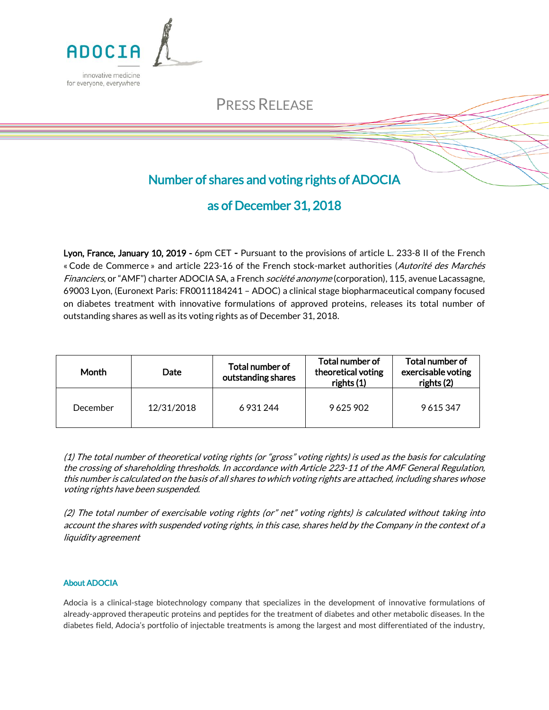

# PRESS RELEASE

### Number of shares and voting rights of ADOCIA

## as of December 31, 2018

Lyon, France, January 10, 2019 - 6pm CET - Pursuant to the provisions of article L. 233-8 II of the French « Code de Commerce » and article 223-16 of the French stock-market authorities (Autorité des Marchés Financiers, or "AMF") charter ADOCIA SA, a French *société anonyme* (corporation), 115, avenue Lacassagne, 69003 Lyon, (Euronext Paris: FR0011184241 – ADOC) a clinical stage biopharmaceutical company focused on diabetes treatment with innovative formulations of approved proteins, releases its total number of outstanding shares as well as its voting rights as of December 31, 2018.

| Month    | <b>Date</b> | Total number of<br>outstanding shares | Total number of<br>theoretical voting<br>rights (1) | Total number of<br>exercisable voting<br>rights (2) |
|----------|-------------|---------------------------------------|-----------------------------------------------------|-----------------------------------------------------|
| December | 12/31/2018  | 6 9 31 2 44                           | 9625902                                             | 9615347                                             |

(1) The total number of theoretical voting rights (or "gross" voting rights) is used as the basis for calculating the crossing of shareholding thresholds. In accordance with Article 223-11 of the AMF General Regulation, this number is calculated on the basis of all shares to which voting rights are attached, including shares whose voting rights have been suspended.

(2) The total number of exercisable voting rights (or" net" voting rights) is calculated without taking into account the shares with suspended voting rights, in this case, shares held by the Company in the context of a liquidity agreement

### About ADOCIA

Adocia is a clinical-stage biotechnology company that specializes in the development of innovative formulations of already-approved therapeutic proteins and peptides for the treatment of diabetes and other metabolic diseases. In the diabetes field, Adocia's portfolio of injectable treatments is among the largest and most differentiated of the industry,